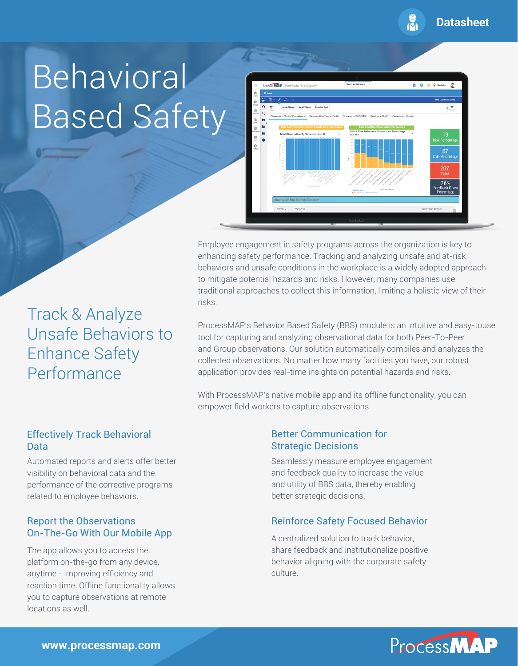$\frac{1}{100}$ **Datasheet**

# Behavioral Based Safety



Employee engagement in safety programs across the organization is key to enhancing safety performance. Tracking and analyzing unsafe and at-risk behaviors and unsafe conditions in the workplace is a widely adopted approach to mitigate potential hazards and risks. However, many companies use traditional approaches to collect this information, limiting a holistic view of their risks.

Track & Analyze Unsafe Behaviors to Enhance Safety Performance

ProcessMAP's Behavior Based Safety (BBS) module is an intuitive and easy-touse tool for capturing and analyzing observational data for both Peer-To-Peer and Group observations. Our solution automatically compiles and analyzes the collected observations. No matter how many facilities you have, our robust application provides real-time insights on potential hazards and risks.

With ProcessMAP's native mobile app and its offline functionality, you can empower field workers to capture observations.

### Effectively Track Behavioral Data

Automated reports and alerts offer better visibility on behavioral data and the performance of the corrective programs related to employee behaviors.

## Report the Observations On-The-Go With Our Mobile App

The app allows you to access the platform on-the-go from any device, anytime - improving efficiency and reaction time. Offline functionality allows you to capture observations at remote locations as well.

#### Better Communication for Strategic Decisions

Seamlessly measure employee engagement and feedback quality to increase the value and utility of BBS data, thereby enabling better strategic decisions.

## Reinforce Safety Focused Behavior

A centralized solution to track behavior, share feedback and institutionalize positive behavior aligning with the corporate safety culture.